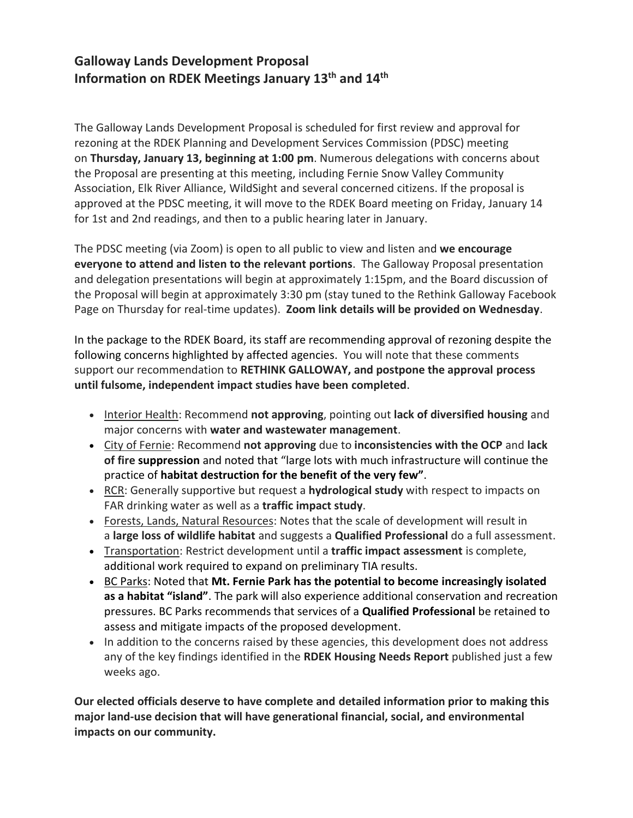# **Galloway Lands Development Proposal Information on RDEK Meetings January 13th and 14th**

The Galloway Lands Development Proposal is scheduled for first review and approval for rezoning at the RDEK Planning and Development Services Commission (PDSC) meeting on **Thursday, January 13, beginning at 1:00 pm**. Numerous delegations with concerns about the Proposal are presenting at this meeting, including Fernie Snow Valley Community Association, Elk River Alliance, WildSight and several concerned citizens. If the proposal is approved at the PDSC meeting, it will move to the RDEK Board meeting on Friday, January 14 for 1st and 2nd readings, and then to a public hearing later in January.

The PDSC meeting (via Zoom) is open to all public to view and listen and **we encourage everyone to attend and listen to the relevant portions**. The Galloway Proposal presentation and delegation presentations will begin at approximately 1:15pm, and the Board discussion of the Proposal will begin at approximately 3:30 pm (stay tuned to the Rethink Galloway Facebook Page on Thursday for real-time updates). **Zoom link details will be provided on Wednesday**.

In the package to the RDEK Board, its staff are recommending approval of rezoning despite the following concerns highlighted by affected agencies. You will note that these comments support our recommendation to **RETHINK GALLOWAY, and postpone the approval process until fulsome, independent impact studies have been completed**.

- Interior Health: Recommend **not approving**, pointing out **lack of diversified housing** and major concerns with **water and wastewater management**.
- City of Fernie: Recommend **not approving** due to **inconsistencies with the OCP** and **lack of fire suppression** and noted that "large lots with much infrastructure will continue the practice of **habitat destruction for the benefit of the very few"**.
- RCR: Generally supportive but request a **hydrological study** with respect to impacts on FAR drinking water as well as a **traffic impact study**.
- Forests, Lands, Natural Resources: Notes that the scale of development will result in a **large loss of wildlife habitat** and suggests a **Qualified Professional** do a full assessment.
- Transportation: Restrict development until a **traffic impact assessment** is complete, additional work required to expand on preliminary TIA results.
- BC Parks: Noted that **Mt. Fernie Park has the potential to become increasingly isolated as a habitat "island"**. The park will also experience additional conservation and recreation pressures. BC Parks recommends that services of a **Qualified Professional** be retained to assess and mitigate impacts of the proposed development.
- In addition to the concerns raised by these agencies, this development does not address any of the key findings identified in the **RDEK Housing Needs Report** published just a few weeks ago.

**Our elected officials deserve to have complete and detailed information prior to making this major land-use decision that will have generational financial, social, and environmental impacts on our community.**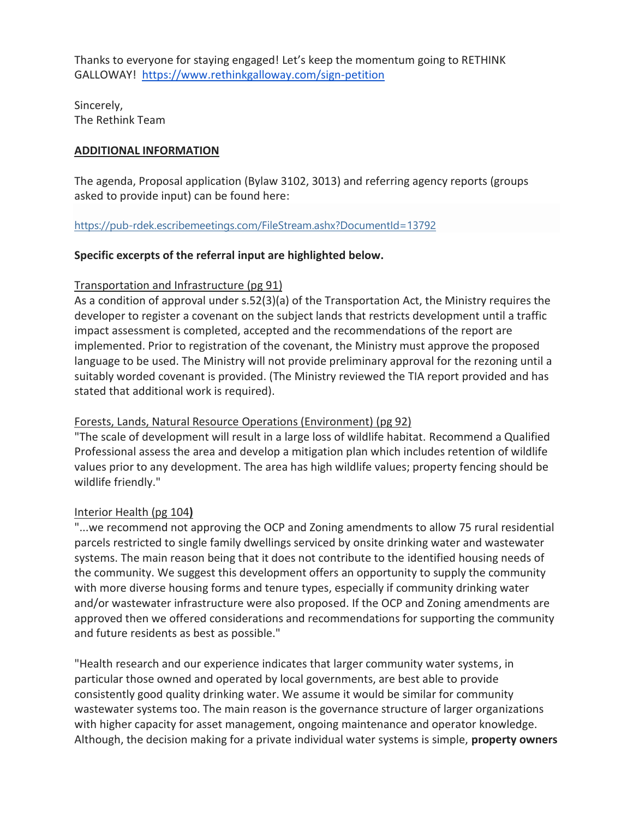Thanks to everyone for staying engaged! Let's keep the momentum going to RETHINK GALLOWAY! [https://www.rethinkgalloway.com/sign-petition](https://linkprotect.cudasvc.com/url?a=https%3a%2f%2fwww.rethinkgalloway.com%2fsign-petition&c=E,1,bK5p2TyKan7u4mWjzANC31qmio_5qRMN32skdRvseplh-4LwDSaz0ddYe942IOVTdYa9bXLzl4_9gvVkPaWppETd0tTxYR5-zCkz6gF1rtjnBL8,&typo=1)

Sincerely, The Rethink Team

#### **ADDITIONAL INFORMATION**

The agenda, Proposal application (Bylaw 3102, 3013) and referring agency reports (groups asked to provide input) can be found here:

#### <https://pub-rdek.escribemeetings.com/FileStream.ashx?DocumentId=13792>

## **Specific excerpts of the referral input are highlighted below.**

## Transportation and Infrastructure (pg 91)

As a condition of approval under s.52(3)(a) of the Transportation Act, the Ministry requires the developer to register a covenant on the subject lands that restricts development until a traffic impact assessment is completed, accepted and the recommendations of the report are implemented. Prior to registration of the covenant, the Ministry must approve the proposed language to be used. The Ministry will not provide preliminary approval for the rezoning until a suitably worded covenant is provided. (The Ministry reviewed the TIA report provided and has stated that additional work is required).

#### Forests, Lands, Natural Resource Operations (Environment) (pg 92)

"The scale of development will result in a large loss of wildlife habitat. Recommend a Qualified Professional assess the area and develop a mitigation plan which includes retention of wildlife values prior to any development. The area has high wildlife values; property fencing should be wildlife friendly."

#### Interior Health (pg 104**)**

"...we recommend not approving the OCP and Zoning amendments to allow 75 rural residential parcels restricted to single family dwellings serviced by onsite drinking water and wastewater systems. The main reason being that it does not contribute to the identified housing needs of the community. We suggest this development offers an opportunity to supply the community with more diverse housing forms and tenure types, especially if community drinking water and/or wastewater infrastructure were also proposed. If the OCP and Zoning amendments are approved then we offered considerations and recommendations for supporting the community and future residents as best as possible."

"Health research and our experience indicates that larger community water systems, in particular those owned and operated by local governments, are best able to provide consistently good quality drinking water. We assume it would be similar for community wastewater systems too. The main reason is the governance structure of larger organizations with higher capacity for asset management, ongoing maintenance and operator knowledge. Although, the decision making for a private individual water systems is simple, **property owners**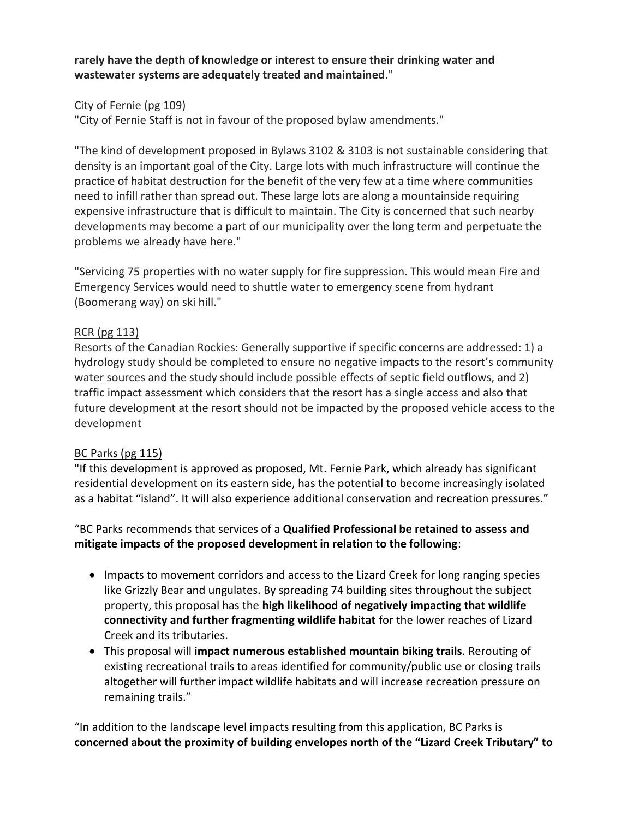**rarely have the depth of knowledge or interest to ensure their drinking water and wastewater systems are adequately treated and maintained**."

## City of Fernie (pg 109)

"City of Fernie Staff is not in favour of the proposed bylaw amendments."

"The kind of development proposed in Bylaws 3102 & 3103 is not sustainable considering that density is an important goal of the City. Large lots with much infrastructure will continue the practice of habitat destruction for the benefit of the very few at a time where communities need to infill rather than spread out. These large lots are along a mountainside requiring expensive infrastructure that is difficult to maintain. The City is concerned that such nearby developments may become a part of our municipality over the long term and perpetuate the problems we already have here."

"Servicing 75 properties with no water supply for fire suppression. This would mean Fire and Emergency Services would need to shuttle water to emergency scene from hydrant (Boomerang way) on ski hill."

## RCR (pg 113)

Resorts of the Canadian Rockies: Generally supportive if specific concerns are addressed: 1) a hydrology study should be completed to ensure no negative impacts to the resort's community water sources and the study should include possible effects of septic field outflows, and 2) traffic impact assessment which considers that the resort has a single access and also that future development at the resort should not be impacted by the proposed vehicle access to the development

#### BC Parks (pg 115)

"If this development is approved as proposed, Mt. Fernie Park, which already has significant residential development on its eastern side, has the potential to become increasingly isolated as a habitat "island". It will also experience additional conservation and recreation pressures."

## "BC Parks recommends that services of a **Qualified Professional be retained to assess and mitigate impacts of the proposed development in relation to the following**:

- Impacts to movement corridors and access to the Lizard Creek for long ranging species like Grizzly Bear and ungulates. By spreading 74 building sites throughout the subject property, this proposal has the **high likelihood of negatively impacting that wildlife connectivity and further fragmenting wildlife habitat** for the lower reaches of Lizard Creek and its tributaries.
- This proposal will **impact numerous established mountain biking trails**. Rerouting of existing recreational trails to areas identified for community/public use or closing trails altogether will further impact wildlife habitats and will increase recreation pressure on remaining trails."

"In addition to the landscape level impacts resulting from this application, BC Parks is **concerned about the proximity of building envelopes north of the "Lizard Creek Tributary" to**